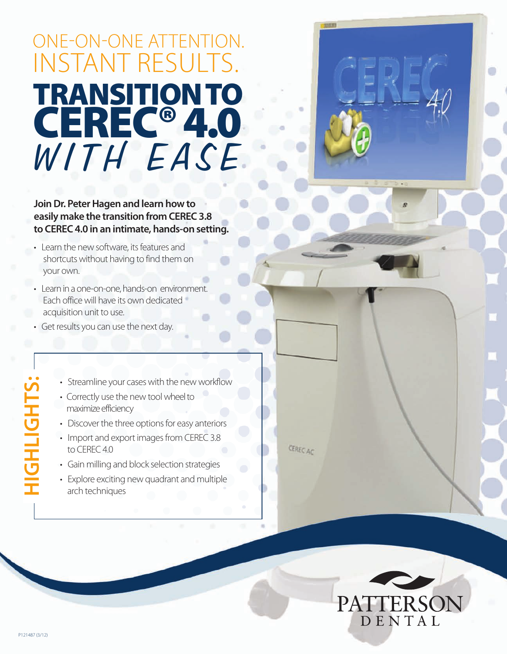## OnE-On-OnE attEntIOn. InStant RESultS. **TRANSITIONTO CEREC®4.0** WITH EASE

**JoinDr. PeterHagen and learn how to easily make the transition from CEREC 3.8 to CEREC 4.0 in an intimate, hands-on setting.**

- Learn the new software, its features and shortcuts without having to find them on your own.
- Learn in a one-on-one, hands-on environment. Each office will have its own dedicated acquisition unit to use.
- Get results you can use the next day.
	- Streamline your cases with the new workflow
	- Correctly use the new tool wheel to maximize efficiency
	- Discover the three options for easy anteriors
	- Import and export images from CEREC 3.8 to CEREC 4.0
	- Gain milling and block selection strategies
	- Explore exciting new quadrant and multiple arch techniques





**HIG**

**H**

**LIG**

**HT S:**